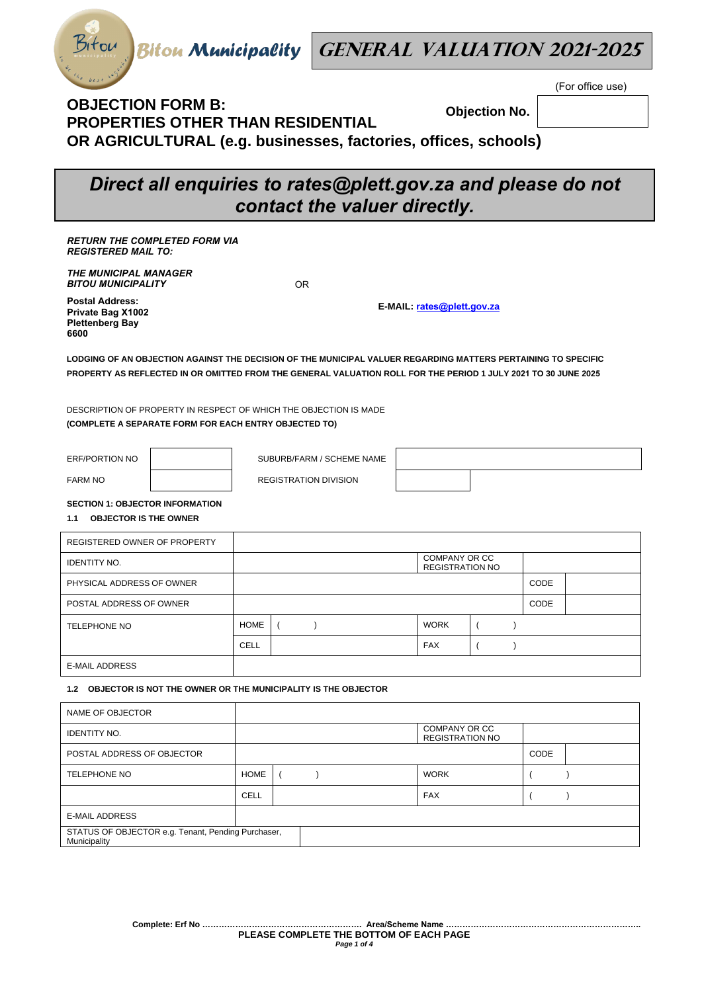

(For office use)

## **OBJECTION FORM B: PROPERTIES OTHER THAN RESIDENTIAL OR AGRICULTURAL (e.g. businesses, factories, offices, schools) Objection No.**

# *Direct all enquiries to rates@plett.gov.za and please do not contact the valuer directly.*

*RETURN THE COMPLETED FORM VIA REGISTERED MAIL TO:* 

*THE MUNICIPAL MANAGER BITOU MUNICIPALITY* 

**Postal Address: Private Bag X1002 Plettenberg Bay 6600**

OR

**E-MAIL: rates@plett.gov.za**

**LODGING OF AN OBJECTION AGAINST THE DECISION OF THE MUNICIPAL VALUER REGARDING MATTERS PERTAINING TO SPECIFIC PROPERTY AS REFLECTED IN OR OMITTED FROM THE GENERAL VALUATION ROLL FOR THE PERIOD 1 JULY 2021 TO 30 JUNE 2025**

DESCRIPTION OF PROPERTY IN RESPECT OF WHICH THE OBJECTION IS MADE **(COMPLETE A SEPARATE FORM FOR EACH ENTRY OBJECTED TO)** 

ERF/PORTION NO  $\vert$  SUBURB/FARM / SCHEME NAME

FARM NO **REGISTRATION DIVISION** 

**SECTION 1: OBJECTOR INFORMATION** 

**1.1 OBJECTOR IS THE OWNER** 

| REGISTERED OWNER OF PROPERTY |             |  |                                         |      |  |
|------------------------------|-------------|--|-----------------------------------------|------|--|
| <b>IDENTITY NO.</b>          |             |  | COMPANY OR CC<br><b>REGISTRATION NO</b> |      |  |
| PHYSICAL ADDRESS OF OWNER    |             |  |                                         | CODE |  |
| POSTAL ADDRESS OF OWNER      |             |  |                                         | CODE |  |
| <b>TELEPHONE NO</b>          | <b>HOME</b> |  | <b>WORK</b>                             |      |  |
|                              | <b>CELL</b> |  | <b>FAX</b>                              |      |  |
| <b>E-MAIL ADDRESS</b>        |             |  |                                         |      |  |

## **1.2 OBJECTOR IS NOT THE OWNER OR THE MUNICIPALITY IS THE OBJECTOR**

| NAME OF OBJECTOR                                                   |             |  |                                         |             |  |
|--------------------------------------------------------------------|-------------|--|-----------------------------------------|-------------|--|
| <b>IDENTITY NO.</b>                                                |             |  | COMPANY OR CC<br><b>REGISTRATION NO</b> |             |  |
| POSTAL ADDRESS OF OBJECTOR                                         |             |  |                                         | <b>CODE</b> |  |
| <b>TELEPHONE NO</b>                                                | <b>HOME</b> |  | <b>WORK</b>                             |             |  |
|                                                                    | <b>CELL</b> |  | <b>FAX</b>                              |             |  |
| <b>E-MAIL ADDRESS</b>                                              |             |  |                                         |             |  |
| STATUS OF OBJECTOR e.g. Tenant, Pending Purchaser,<br>Municipality |             |  |                                         |             |  |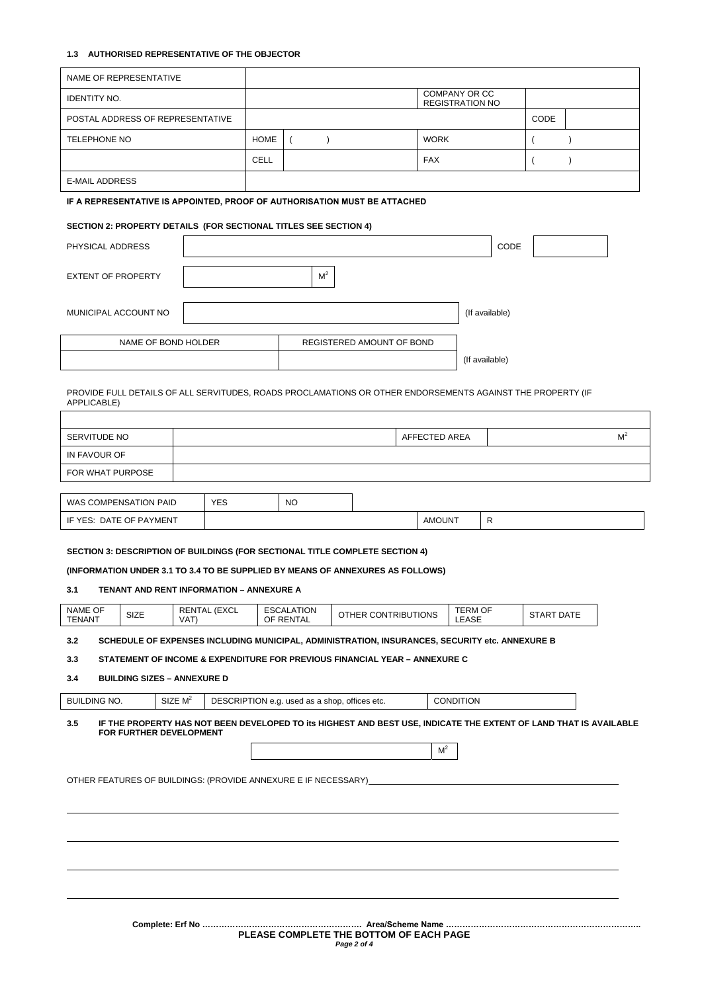## **1.3 AUTHORISED REPRESENTATIVE OF THE OBJECTOR**

|                           | NAME OF REPRESENTATIVE  |                                                                                                                   |             |                                |                                               |                                                |                |                   |               |                |
|---------------------------|-------------------------|-------------------------------------------------------------------------------------------------------------------|-------------|--------------------------------|-----------------------------------------------|------------------------------------------------|----------------|-------------------|---------------|----------------|
| <b>IDENTITY NO.</b>       |                         |                                                                                                                   |             |                                |                                               | <b>COMPANY OR CC</b><br><b>REGISTRATION NO</b> |                |                   |               |                |
|                           |                         | POSTAL ADDRESS OF REPRESENTATIVE                                                                                  |             |                                |                                               |                                                |                | CODE              |               |                |
| <b>TELEPHONE NO</b>       |                         |                                                                                                                   | <b>HOME</b> | $\left($<br>$\lambda$          |                                               | <b>WORK</b>                                    |                |                   | $\lambda$     |                |
|                           |                         |                                                                                                                   | <b>CELL</b> |                                |                                               | FAX                                            |                | $\overline{ }$    | $\mathcal{E}$ |                |
| <b>E-MAIL ADDRESS</b>     |                         |                                                                                                                   |             |                                |                                               |                                                |                |                   |               |                |
|                           |                         | IF A REPRESENTATIVE IS APPOINTED, PROOF OF AUTHORISATION MUST BE ATTACHED                                         |             |                                |                                               |                                                |                |                   |               |                |
|                           |                         | SECTION 2: PROPERTY DETAILS (FOR SECTIONAL TITLES SEE SECTION 4)                                                  |             |                                |                                               |                                                |                |                   |               |                |
| PHYSICAL ADDRESS          |                         |                                                                                                                   |             |                                |                                               |                                                | CODE           |                   |               |                |
|                           |                         |                                                                                                                   |             |                                |                                               |                                                |                |                   |               |                |
| <b>EXTENT OF PROPERTY</b> |                         |                                                                                                                   |             | $\mathsf{M}^2$                 |                                               |                                                |                |                   |               |                |
|                           |                         |                                                                                                                   |             |                                |                                               |                                                |                |                   |               |                |
|                           | MUNICIPAL ACCOUNT NO    |                                                                                                                   |             |                                |                                               |                                                | (If available) |                   |               |                |
|                           | NAME OF BOND HOLDER     |                                                                                                                   |             |                                | REGISTERED AMOUNT OF BOND                     |                                                |                |                   |               |                |
|                           |                         |                                                                                                                   |             |                                |                                               |                                                | (If available) |                   |               |                |
|                           |                         |                                                                                                                   |             |                                |                                               |                                                |                |                   |               |                |
| APPLICABLE)               |                         | PROVIDE FULL DETAILS OF ALL SERVITUDES, ROADS PROCLAMATIONS OR OTHER ENDORSEMENTS AGAINST THE PROPERTY (IF        |             |                                |                                               |                                                |                |                   |               |                |
|                           |                         |                                                                                                                   |             |                                |                                               |                                                |                |                   |               |                |
| SERVITUDE NO              |                         |                                                                                                                   |             |                                |                                               | AFFECTED AREA                                  |                |                   |               | M <sup>2</sup> |
| IN FAVOUR OF              |                         |                                                                                                                   |             |                                |                                               |                                                |                |                   |               |                |
| FOR WHAT PURPOSE          |                         |                                                                                                                   |             |                                |                                               |                                                |                |                   |               |                |
|                           | WAS COMPENSATION PAID   | <b>YES</b>                                                                                                        |             | <b>NO</b>                      |                                               |                                                |                |                   |               |                |
|                           | IF YES: DATE OF PAYMENT |                                                                                                                   |             |                                |                                               | <b>AMOUNT</b>                                  | R              |                   |               |                |
|                           |                         |                                                                                                                   |             |                                |                                               |                                                |                |                   |               |                |
|                           |                         | <b>SECTION 3: DESCRIPTION OF BUILDINGS (FOR SECTIONAL TITLE COMPLETE SECTION 4)</b>                               |             |                                |                                               |                                                |                |                   |               |                |
|                           |                         | (INFORMATION UNDER 3.1 TO 3.4 TO BE SUPPLIED BY MEANS OF ANNEXURES AS FOLLOWS)                                    |             |                                |                                               |                                                |                |                   |               |                |
| 3.1                       |                         | <b>TENANT AND RENT INFORMATION - ANNEXURE A</b>                                                                   |             |                                |                                               |                                                |                |                   |               |                |
| NAME OF<br><b>TENANT</b>  | SIZE                    | <b>RENTAL (EXCL</b><br>VAT)                                                                                       |             | <b>ESCALATION</b><br>OF RENTAL | OTHER CONTRIBUTIONS                           | TERM OF<br>LEASE                               |                | <b>START DATE</b> |               |                |
| 3.2                       |                         | SCHEDULE OF EXPENSES INCLUDING MUNICIPAL, ADMINISTRATION, INSURANCES, SECURITY etc. ANNEXURE B                    |             |                                |                                               |                                                |                |                   |               |                |
| 3.3                       |                         | STATEMENT OF INCOME & EXPENDITURE FOR PREVIOUS FINANCIAL YEAR - ANNEXURE C                                        |             |                                |                                               |                                                |                |                   |               |                |
| 3.4                       |                         | <b>BUILDING SIZES - ANNEXURE D</b>                                                                                |             |                                |                                               |                                                |                |                   |               |                |
| <b>BUILDING NO.</b>       |                         | SIZE $M^2$                                                                                                        |             |                                | DESCRIPTION e.g. used as a shop, offices etc. | <b>CONDITION</b>                               |                |                   |               |                |
| 3.5                       |                         | IF THE PROPERTY HAS NOT BEEN DEVELOPED TO Its HIGHEST AND BEST USE, INDICATE THE EXTENT OF LAND THAT IS AVAILABLE |             |                                |                                               |                                                |                |                   |               |                |
|                           | FOR FURTHER DEVELOPMENT |                                                                                                                   |             |                                |                                               |                                                |                |                   |               |                |
|                           |                         |                                                                                                                   |             |                                |                                               | M <sup>2</sup>                                 |                |                   |               |                |
|                           |                         | OTHER FEATURES OF BUILDINGS: (PROVIDE ANNEXURE E IF NECESSARY)                                                    |             |                                |                                               |                                                |                |                   |               |                |
|                           |                         |                                                                                                                   |             |                                |                                               |                                                |                |                   |               |                |
|                           |                         |                                                                                                                   |             |                                |                                               |                                                |                |                   |               |                |
|                           |                         |                                                                                                                   |             |                                |                                               |                                                |                |                   |               |                |
|                           |                         |                                                                                                                   |             |                                |                                               |                                                |                |                   |               |                |
|                           |                         |                                                                                                                   |             |                                |                                               |                                                |                |                   |               |                |
|                           |                         |                                                                                                                   |             |                                |                                               |                                                |                |                   |               |                |
|                           |                         |                                                                                                                   |             |                                |                                               |                                                |                |                   |               |                |
|                           |                         |                                                                                                                   |             |                                |                                               |                                                |                |                   |               |                |

**Complete: Erf No …………………………………………………. Area/Scheme Name …………………………………………………………….. PLEASE COMPLETE THE BOTTOM OF EACH PAGE**  *Page 2 of 4*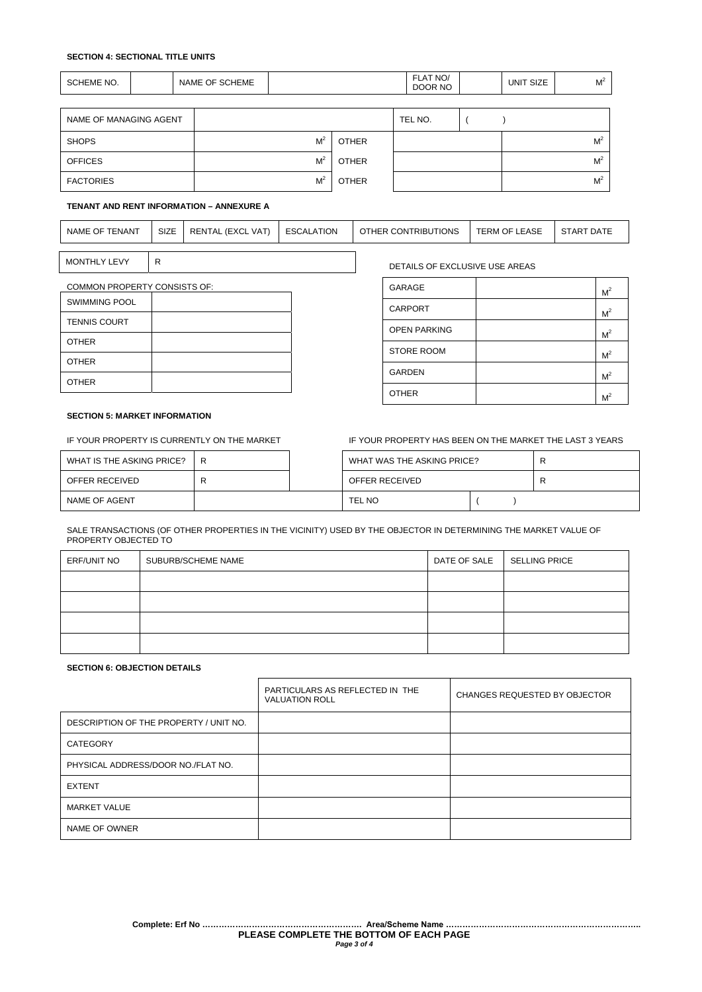## **SECTION 4: SECTIONAL TITLE UNITS**

| SCHEME NO.             | NAME OF SCHEME |                |              | FLAT NO/<br>DOOR NO | UNIT SIZE | M <sup>2</sup> |
|------------------------|----------------|----------------|--------------|---------------------|-----------|----------------|
|                        |                |                |              |                     |           |                |
| NAME OF MANAGING AGENT |                |                |              | TEL NO.             |           |                |
| <b>SHOPS</b>           |                | M <sup>2</sup> | <b>OTHER</b> |                     |           | M <sup>2</sup> |
| <b>OFFICES</b>         |                | M <sup>2</sup> | <b>OTHER</b> |                     |           | M <sup>2</sup> |
| <b>FACTORIES</b>       |                | M <sup>2</sup> | <b>OTHER</b> |                     |           | M <sup>2</sup> |

## **TENANT AND RENT INFORMATION – ANNEXURE A**

| <b>ENANT</b><br><b>NAME</b><br>OF | <b>SIZE</b><br>$\sim$ $\sim$ | <b>VAT</b><br>(EXCL<br>RENTAL | <b>ESCALATION</b> | <b>CONTRIBUTIONS</b><br>OTHER ( | <b>EASE</b><br>TERM<br>OF | <b>DATE</b><br><b>START</b> |
|-----------------------------------|------------------------------|-------------------------------|-------------------|---------------------------------|---------------------------|-----------------------------|
|                                   |                              |                               |                   |                                 |                           |                             |

MONTHLY LEVY R CONSUMING REALLY RELATED STOLEN AND REALLY BETAILS OF EXCLUSIVE USE AREAS

| GARAGE              | M <sup>2</sup> |
|---------------------|----------------|
| <b>CARPORT</b>      | M <sup>2</sup> |
| <b>OPEN PARKING</b> | M <sup>2</sup> |
| <b>STORE ROOM</b>   | M <sup>2</sup> |
| <b>GARDEN</b>       | M <sup>2</sup> |
| <b>OTHER</b>        |                |

COMMON PROPERTY CONSISTS OF:

| <b>SWIMMING POOL</b> |  |
|----------------------|--|
| <b>TENNIS COURT</b>  |  |
| <b>OTHER</b>         |  |
| <b>OTHER</b>         |  |
| <b>OTHER</b>         |  |

#### **SECTION 5: MARKET INFORMATION**

IF YOUR PROPERTY IS CURRENTLY ON THE MARKET **IF YOUR PROPERTY HAS BEEN ON THE MARKET THE LAST 3 YEARS** 

| WHAT IS THE ASKING PRICE? | R | WHAT WAS THE ASKING PRICE? | R |
|---------------------------|---|----------------------------|---|
| OFFER RECEIVED            |   | OFFER RECEIVED             | R |
| NAME OF AGENT             |   | TEL NO                     |   |

SALE TRANSACTIONS (OF OTHER PROPERTIES IN THE VICINITY) USED BY THE OBJECTOR IN DETERMINING THE MARKET VALUE OF PROPERTY OBJECTED TO

| ERF/UNIT NO | SUBURB/SCHEME NAME | DATE OF SALE | SELLING PRICE |
|-------------|--------------------|--------------|---------------|
|             |                    |              |               |
|             |                    |              |               |
|             |                    |              |               |
|             |                    |              |               |

#### **SECTION 6: OBJECTION DETAILS**

|                                        | PARTICULARS AS REFLECTED IN THE<br><b>VALUATION ROLL</b> | CHANGES REQUESTED BY OBJECTOR |
|----------------------------------------|----------------------------------------------------------|-------------------------------|
| DESCRIPTION OF THE PROPERTY / UNIT NO. |                                                          |                               |
| <b>CATEGORY</b>                        |                                                          |                               |
| PHYSICAL ADDRESS/DOOR NO./FLAT NO.     |                                                          |                               |
| <b>EXTENT</b>                          |                                                          |                               |
| <b>MARKET VALUE</b>                    |                                                          |                               |
| NAME OF OWNER                          |                                                          |                               |